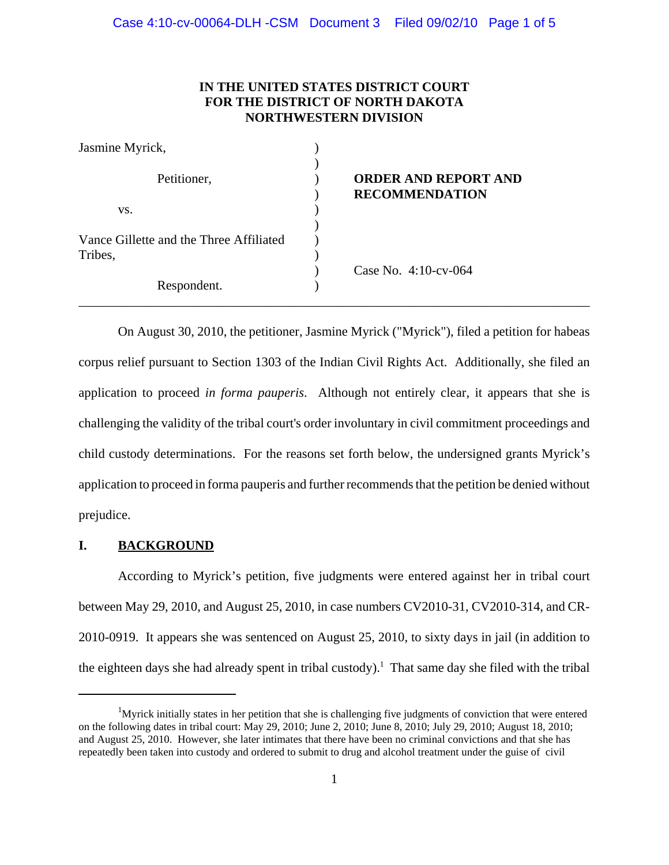# **IN THE UNITED STATES DISTRICT COURT FOR THE DISTRICT OF NORTH DAKOTA NORTHWESTERN DIVISION**

| Jasmine Myrick,                                    |                                                      |
|----------------------------------------------------|------------------------------------------------------|
| Petitioner,                                        | <b>ORDER AND REPORT AND</b><br><b>RECOMMENDATION</b> |
| VS.                                                |                                                      |
| Vance Gillette and the Three Affiliated<br>Tribes, |                                                      |
| Respondent.                                        | Case No. 4:10-cv-064                                 |

On August 30, 2010, the petitioner, Jasmine Myrick ("Myrick"), filed a petition for habeas corpus relief pursuant to Section 1303 of the Indian Civil Rights Act. Additionally, she filed an application to proceed *in forma pauperis*. Although not entirely clear, it appears that she is challenging the validity of the tribal court's order involuntary in civil commitment proceedings and child custody determinations. For the reasons set forth below, the undersigned grants Myrick's application to proceed in forma pauperis and further recommends that the petition be denied without prejudice.

# **I. BACKGROUND**

According to Myrick's petition, five judgments were entered against her in tribal court between May 29, 2010, and August 25, 2010, in case numbers CV2010-31, CV2010-314, and CR-2010-0919. It appears she was sentenced on August 25, 2010, to sixty days in jail (in addition to the eighteen days she had already spent in tribal custody).<sup>1</sup> That same day she filed with the tribal

<sup>&</sup>lt;sup>1</sup>Myrick initially states in her petition that she is challenging five judgments of conviction that were entered on the following dates in tribal court: May 29, 2010; June 2, 2010; June 8, 2010; July 29, 2010; August 18, 2010; and August 25, 2010. However, she later intimates that there have been no criminal convictions and that she has repeatedly been taken into custody and ordered to submit to drug and alcohol treatment under the guise of civil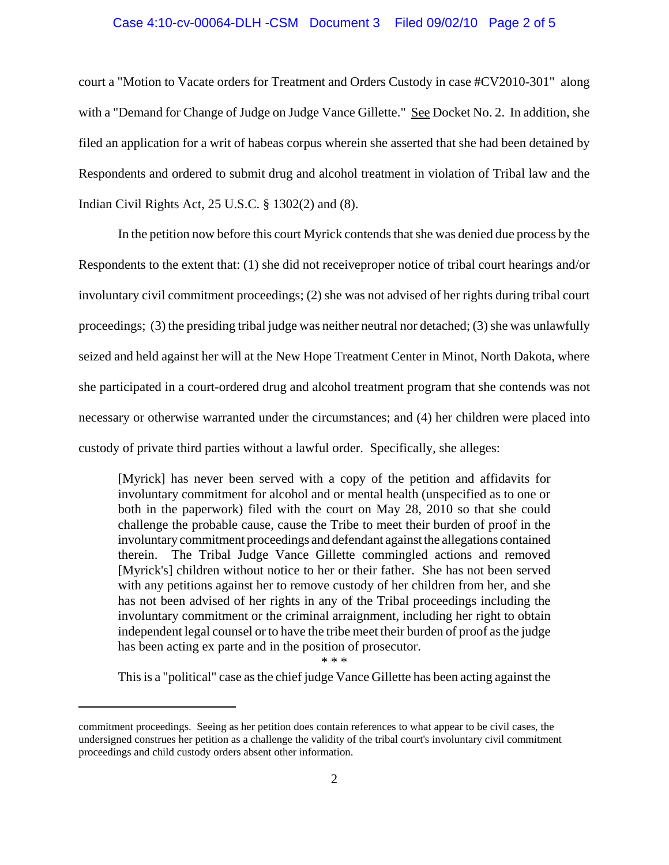#### Case 4:10-cv-00064-DLH -CSM Document 3 Filed 09/02/10 Page 2 of 5

court a "Motion to Vacate orders for Treatment and Orders Custody in case #CV2010-301" along with a "Demand for Change of Judge on Judge Vance Gillette." See Docket No. 2. In addition, she filed an application for a writ of habeas corpus wherein she asserted that she had been detained by Respondents and ordered to submit drug and alcohol treatment in violation of Tribal law and the Indian Civil Rights Act, 25 U.S.C. § 1302(2) and (8).

In the petition now before this court Myrick contends that she was denied due process by the Respondents to the extent that: (1) she did not receiveproper notice of tribal court hearings and/or involuntary civil commitment proceedings; (2) she was not advised of her rights during tribal court proceedings; (3) the presiding tribal judge was neither neutral nor detached; (3) she was unlawfully seized and held against her will at the New Hope Treatment Center in Minot, North Dakota, where she participated in a court-ordered drug and alcohol treatment program that she contends was not necessary or otherwise warranted under the circumstances; and (4) her children were placed into custody of private third parties without a lawful order. Specifically, she alleges:

[Myrick] has never been served with a copy of the petition and affidavits for involuntary commitment for alcohol and or mental health (unspecified as to one or both in the paperwork) filed with the court on May 28, 2010 so that she could challenge the probable cause, cause the Tribe to meet their burden of proof in the involuntary commitment proceedings and defendant against the allegations contained therein. The Tribal Judge Vance Gillette commingled actions and removed [Myrick's] children without notice to her or their father. She has not been served with any petitions against her to remove custody of her children from her, and she has not been advised of her rights in any of the Tribal proceedings including the involuntary commitment or the criminal arraignment, including her right to obtain independent legal counsel or to have the tribe meet their burden of proof as the judge has been acting ex parte and in the position of prosecutor.

\* \* \*

This is a "political" case as the chief judge Vance Gillette has been acting against the

commitment proceedings. Seeing as her petition does contain references to what appear to be civil cases, the undersigned construes her petition as a challenge the validity of the tribal court's involuntary civil commitment proceedings and child custody orders absent other information.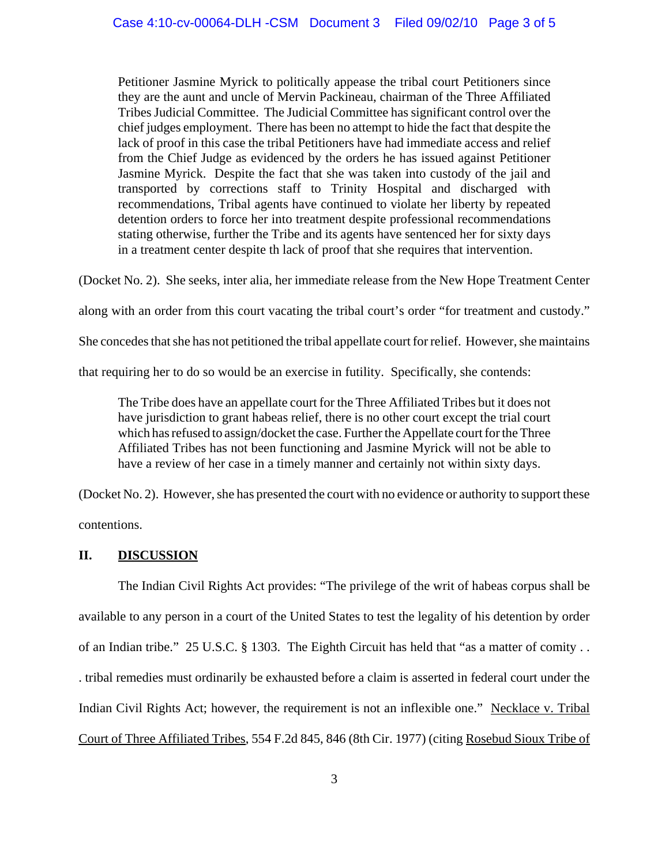Petitioner Jasmine Myrick to politically appease the tribal court Petitioners since they are the aunt and uncle of Mervin Packineau, chairman of the Three Affiliated Tribes Judicial Committee. The Judicial Committee has significant control over the chief judges employment. There has been no attempt to hide the fact that despite the lack of proof in this case the tribal Petitioners have had immediate access and relief from the Chief Judge as evidenced by the orders he has issued against Petitioner Jasmine Myrick. Despite the fact that she was taken into custody of the jail and transported by corrections staff to Trinity Hospital and discharged with recommendations, Tribal agents have continued to violate her liberty by repeated detention orders to force her into treatment despite professional recommendations stating otherwise, further the Tribe and its agents have sentenced her for sixty days in a treatment center despite th lack of proof that she requires that intervention.

(Docket No. 2). She seeks, inter alia, her immediate release from the New Hope Treatment Center

along with an order from this court vacating the tribal court's order "for treatment and custody."

She concedes that she has not petitioned the tribal appellate court for relief. However, she maintains

that requiring her to do so would be an exercise in futility. Specifically, she contends:

The Tribe does have an appellate court for the Three Affiliated Tribes but it does not have jurisdiction to grant habeas relief, there is no other court except the trial court which has refused to assign/docket the case. Further the Appellate court for the Three Affiliated Tribes has not been functioning and Jasmine Myrick will not be able to have a review of her case in a timely manner and certainly not within sixty days.

(Docket No. 2). However, she has presented the court with no evidence or authority to support these

contentions.

### **II. DISCUSSION**

The Indian Civil Rights Act provides: "The privilege of the writ of habeas corpus shall be available to any person in a court of the United States to test the legality of his detention by order of an Indian tribe." 25 U.S.C. § 1303. The Eighth Circuit has held that "as a matter of comity . . . tribal remedies must ordinarily be exhausted before a claim is asserted in federal court under the Indian Civil Rights Act; however, the requirement is not an inflexible one." Necklace v. Tribal Court of Three Affiliated Tribes, 554 F.2d 845, 846 (8th Cir. 1977) (citing Rosebud Sioux Tribe of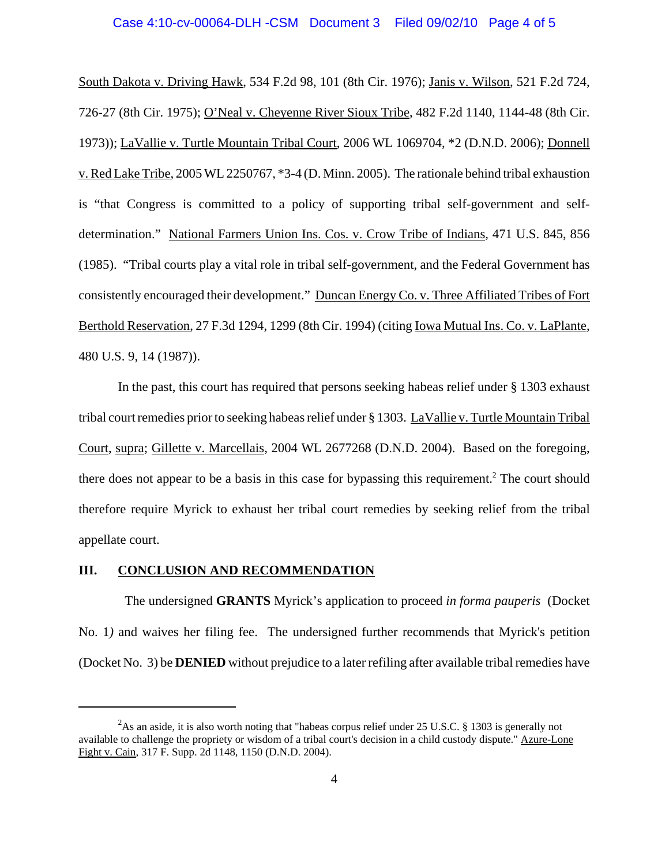#### Case 4:10-cv-00064-DLH -CSM Document 3 Filed 09/02/10 Page 4 of 5

South Dakota v. Driving Hawk, 534 F.2d 98, 101 (8th Cir. 1976); Janis v. Wilson, 521 F.2d 724, 726-27 (8th Cir. 1975); O'Neal v. Cheyenne River Sioux Tribe, 482 F.2d 1140, 1144-48 (8th Cir. 1973)); LaVallie v. Turtle Mountain Tribal Court, 2006 WL 1069704, \*2 (D.N.D. 2006); Donnell v. Red Lake Tribe, 2005 WL 2250767, \*3-4 (D. Minn. 2005). The rationale behind tribal exhaustion is "that Congress is committed to a policy of supporting tribal self-government and selfdetermination." National Farmers Union Ins. Cos. v. Crow Tribe of Indians, 471 U.S. 845, 856 (1985). "Tribal courts play a vital role in tribal self-government, and the Federal Government has consistently encouraged their development." Duncan Energy Co. v. Three Affiliated Tribes of Fort Berthold Reservation, 27 F.3d 1294, 1299 (8th Cir. 1994) (citing Iowa Mutual Ins. Co. v. LaPlante, 480 U.S. 9, 14 (1987)).

In the past, this court has required that persons seeking habeas relief under § 1303 exhaust tribal court remedies prior to seeking habeas relief under § 1303. LaVallie v. Turtle Mountain Tribal Court, supra; Gillette v. Marcellais, 2004 WL 2677268 (D.N.D. 2004). Based on the foregoing, there does not appear to be a basis in this case for bypassing this requirement.<sup>2</sup> The court should therefore require Myrick to exhaust her tribal court remedies by seeking relief from the tribal appellate court.

### **III. CONCLUSION AND RECOMMENDATION**

 The undersigned **GRANTS** Myrick's application to proceed *in forma pauperis* (Docket No. 1*)* and waives her filing fee. The undersigned further recommends that Myrick's petition (Docket No. 3) be **DENIED** without prejudice to a later refiling after available tribal remedies have

<sup>&</sup>lt;sup>2</sup>As an aside, it is also worth noting that "habeas corpus relief under 25 U.S.C. § 1303 is generally not available to challenge the propriety or wisdom of a tribal court's decision in a child custody dispute." Azure-Lone Fight v. Cain, 317 F. Supp. 2d 1148, 1150 (D.N.D. 2004).